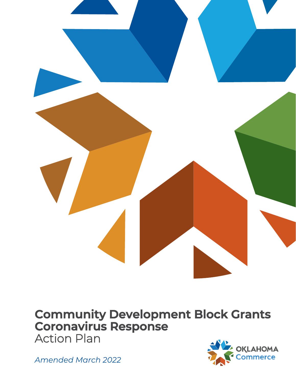

# **Community Development Block Grants Coronavirus Response**  Action Plan

*Amended March 2022*

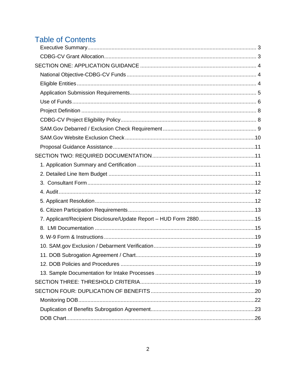# **Table of Contents**

| 7. Applicant/Recipient Disclosure/Update Report - HUD Form 288015 |  |
|-------------------------------------------------------------------|--|
|                                                                   |  |
|                                                                   |  |
|                                                                   |  |
|                                                                   |  |
|                                                                   |  |
|                                                                   |  |
|                                                                   |  |
|                                                                   |  |
|                                                                   |  |
|                                                                   |  |
|                                                                   |  |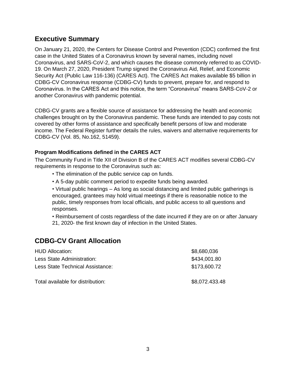# <span id="page-2-0"></span>**Executive Summary**

On January 21, 2020, the Centers for Disease Control and Prevention (CDC) confirmed the first case in the United States of a Coronavirus known by several names, including novel Coronavirus, and SARS-CoV-2, and which causes the disease commonly referred to as COVID-19. On March 27, 2020, President Trump signed the Coronavirus Aid, Relief, and Economic Security Act (Public Law 116-136) (CARES Act). The CARES Act makes available \$5 billion in CDBG-CV Coronavirus response (CDBG-CV) funds to prevent, prepare for, and respond to Coronavirus. In the CARES Act and this notice, the term "Coronavirus" means SARS-CoV-2 or another Coronavirus with pandemic potential.

CDBG-CV grants are a flexible source of assistance for addressing the health and economic challenges brought on by the Coronavirus pandemic. These funds are intended to pay costs not covered by other forms of assistance and specifically benefit persons of low and moderate income. The Federal Register further details the rules, waivers and alternative requirements for CDBG-CV (Vol. 85, No.162, 51459).

### **Program Modifications defined in the CARES ACT**

The Community Fund in Title XII of Division B of the CARES ACT modifies several CDBG-CV requirements in response to the Coronavirus such as:

- The elimination of the public service cap on funds.
- A 5-day public comment period to expedite funds being awarded.

• Virtual public hearings – As long as social distancing and limited public gatherings is encouraged, grantees may hold virtual meetings if there is reasonable notice to the public, timely responses from local officials, and public access to all questions and responses.

• Reimbursement of costs regardless of the date incurred if they are on or after January 21, 2020- the first known day of infection in the United States.

# <span id="page-2-1"></span>**CDBG-CV Grant Allocation**

| <b>HUD Allocation:</b>            | \$8,680,036    |
|-----------------------------------|----------------|
| Less State Administration:        | \$434,001.80   |
| Less State Technical Assistance:  | \$173,600.72   |
| Total available for distribution: | \$8,072.433.48 |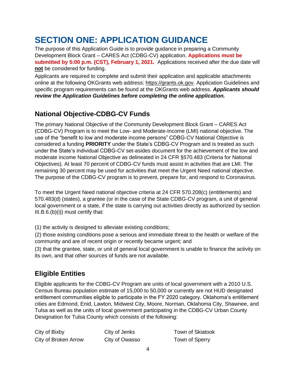# <span id="page-3-0"></span>**SECTION ONE: APPLICATION GUIDANCE**

The purpose of this Application Guide is to provide guidance in preparing a Community Development Block Grant – CARES Act (CDBG-CV) application. **Applications must be submitted by 5:00 p.m. (CST), February 1, 2021.** Applications received after the due date will **not** be considered for funding.

Applicants are required to complete and submit their application and applicable attachments online at the following OKGrants web address: https://grants.ok.gov. Application Guidelines and specific program requirements can be found at the OKGrants web address. *Applicants should review the Application Guidelines before completing the online application.*

# <span id="page-3-1"></span>**National Objective-CDBG-CV Funds**

The primary National Objective of the Community Development Block Grant – CARES Act (CDBG-CV) Program is to meet the Low- and Moderate-Income (LMI) national objective. The use of the "benefit to low and moderate income persons" CDBG-CV National Objective is considered a funding **PRIORITY** under the State's CDBG-CV Program and is treated as such under the State's individual CDBG-CV set-asides document for the achievement of the low and moderate income National Objective as delineated in 24 CFR §570.483 (Criteria for National Objectives). At least 70 percent of CDBG-CV funds must assist in activities that are LMI. The remaining 30 percent may be used for activities that meet the Urgent Need national objective. The purpose of the CDBG-CV program is to prevent, prepare for, and respond to Coronavirus.

To meet the Urgent Need national objective criteria at 24 CFR 570.208(c) (entitlements) and 570.483(d) (states), a grantee (or in the case of the State CDBG-CV program, a unit of general local government or a state, if the state is carrying out activities directly as authorized by section III.B.6.(b)(i)) must certify that:

(1) the activity is designed to alleviate existing conditions;

(2) those existing conditions pose a serious and immediate threat to the health or welfare of the community and are of recent origin or recently became urgent; and

(3) that the grantee, state, or unit of general local government is unable to finance the activity on its own, and that other sources of funds are not available.

# <span id="page-3-2"></span>**Eligible Entities**

Eligible applicants for the CDBG-CV Program are units of local government with a 2010 U.S. Census Bureau population estimate of 15,000 to 50,000 or currently are not HUD designated entitlement communities eligible to participate in the FY 2020 category. Oklahoma's entitlement cities are Edmond, Enid, Lawton, Midwest City, Moore, Norman, Oklahoma City, Shawnee, and Tulsa as well as the units of local government participating in the CDBG-CV Urban County Designation for Tulsa County which consists of the following:

City of Bixby City of Jenks Town of Skiatook City of Broken Arrow City of Owasso Town of Sperry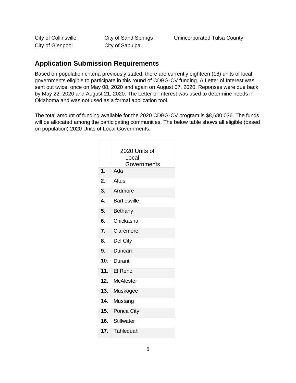City of Glenpool City of Sapulpa

## <span id="page-4-0"></span>**Application Submission Requirements**

Based on population criteria previously stated, there are currently eighteen (18) units of local governments eligible to participate in this round of CDBG-CV funding. A Letter of Interest was sent out twice, once on May 08, 2020 and again on August 07, 2020. Reponses were due back by May 22, 2020 and August 21, 2020. The Letter of Interest was used to determine needs in Oklahoma and was not used as a formal application tool.

The total amount of funding available for the 2020 CDBG-CV program is \$8,680,036. The funds will be allocated among the participating communities. The below table shows all eligible (based on population) 2020 Units of Local Governments.

| $\mathbf 1$ .             | 2020 Units of<br>Local<br>Governments<br>Ada |
|---------------------------|----------------------------------------------|
|                           |                                              |
| 2.                        | Altus                                        |
| $\overline{3}$ .          | Ardmore                                      |
| $\overline{\mathbf{4}}$ . | <b>Bartlesville</b>                          |
| 5.                        | <b>Bethany</b>                               |
| 6.                        | Chickasha                                    |
| 7.                        | Claremore                                    |
| $\overline{8}$ .          | Del City                                     |
| 9.                        | Duncan                                       |
| 10.                       | Durant                                       |
| 11.                       | El Reno                                      |
| 12.                       | <b>McAlester</b>                             |
| 13.                       | Muskogee                                     |
| 14.                       | Mustang                                      |
| 15.                       | Ponca City                                   |
| 16.                       | <b>Stillwater</b>                            |
| 17.                       | Tahlequah                                    |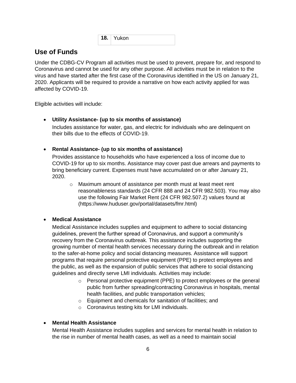**18.** Yukon

## <span id="page-5-0"></span>**Use of Funds**

Under the CDBG-CV Program all activities must be used to prevent, prepare for, and respond to Coronavirus and cannot be used for any other purpose. All activities must be in relation to the virus and have started after the first case of the Coronavirus identified in the US on January 21, 2020. Applicants will be required to provide a narrative on how each activity applied for was affected by COVID-19.

Eligible activities will include:

### • **Utility Assistance- (up to six months of assistance)**

Includes assistance for water, gas, and electric for individuals who are delinquent on their bills due to the effects of COVID-19.

### • **Rental Assistance- (up to six months of assistance)**

Provides assistance to households who have experienced a loss of income due to COVID-19 for up to six months. Assistance may cover past due arrears and payments to bring beneficiary current. Expenses must have accumulated on or after January 21, 2020.

o Maximum amount of assistance per month must at least meet rent reasonableness standards (24 CFR 888 and 24 CFR 982.503). You may also use the following Fair Market Rent (24 CFR 982.507.2) values found at (https://www.huduser.gov/portal/datasets/fmr.html)

### • **Medical Assistance**

Medical Assistance includes supplies and equipment to adhere to social distancing guidelines, prevent the further spread of Coronavirus, and support a community's recovery from the Coronavirus outbreak. This assistance includes supporting the growing number of mental health services necessary during the outbreak and in relation to the safer-at-home policy and social distancing measures. Assistance will support programs that require personal protective equipment (PPE) to protect employees and the public, as well as the expansion of public services that adhere to social distancing guidelines and directly serve LMI individuals. Activities may include:

- $\circ$  Personal protective equipment (PPE) to protect employees or the general public from further spreading/contracting Coronavirus in hospitals, mental health facilities, and public transportation vehicles;
- o Equipment and chemicals for sanitation of facilities; and
- o Coronavirus testing kits for LMI individuals.

### • **Mental Health Assistance**

Mental Health Assistance includes supplies and services for mental health in relation to the rise in number of mental health cases, as well as a need to maintain social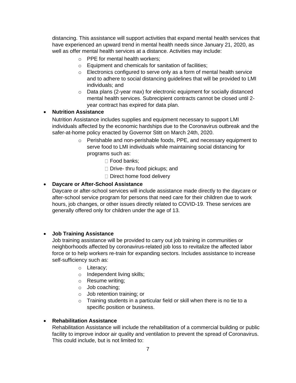distancing. This assistance will support activities that expand mental health services that have experienced an upward trend in mental health needs since January 21, 2020, as well as offer mental health services at a distance. Activities may include:

- o PPE for mental health workers;
- o Equipment and chemicals for sanitation of facilities;
- o Electronics configured to serve only as a form of mental health service and to adhere to social distancing guidelines that will be provided to LMI individuals; and
- $\circ$  Data plans (2-year max) for electronic equipment for socially distanced mental health services. Subrecipient contracts cannot be closed until 2 year contract has expired for data plan.

### • **Nutrition Assistance**

Nutrition Assistance includes supplies and equipment necessary to support LMI individuals affected by the economic hardships due to the Coronavirus outbreak and the safer-at-home policy enacted by Governor Stitt on March 24th, 2020.

- o Perishable and non-perishable foods, PPE, and necessary equipment to serve food to LMI individuals while maintaining social distancing for programs such as:
	- □ Food banks;
	- Drive- thru food pickups; and
	- D Direct home food delivery

### • **Daycare or After-School Assistance**

Daycare or after-school services will include assistance made directly to the daycare or after-school service program for persons that need care for their children due to work hours, job changes, or other issues directly related to COVID-19. These services are generally offered only for children under the age of 13.

### • **Job Training Assistance**

Job training assistance will be provided to carry out job training in communities or neighborhoods affected by coronavirus-related job loss to revitalize the affected labor force or to help workers re-train for expanding sectors. Includes assistance to increase self-sufficiency such as:

- o Literacy;
- o Independent living skills;
- o Resume writing;
- o Job coaching;
- o Job retention training; or
- o Training students in a particular field or skill when there is no tie to a specific position or business.

### • **Rehabilitation Assistance**

Rehabilitation Assistance will include the rehabilitation of a commercial building or public facility to improve indoor air quality and ventilation to prevent the spread of Coronavirus. This could include, but is not limited to: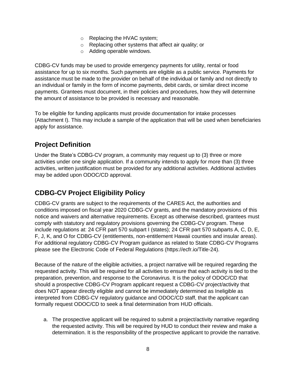- o Replacing the HVAC system;
- o Replacing other systems that affect air quality; or
- o Adding operable windows.

CDBG-CV funds may be used to provide emergency payments for utility, rental or food assistance for up to six months. Such payments are eligible as a public service. Payments for assistance must be made to the provider on behalf of the individual or family and not directly to an individual or family in the form of income payments, debit cards, or similar direct income payments. Grantees must document, in their policies and procedures, how they will determine the amount of assistance to be provided is necessary and reasonable.

To be eligible for funding applicants must provide documentation for intake processes (Attachment I). This may include a sample of the application that will be used when beneficiaries apply for assistance.

# <span id="page-7-0"></span>**Project Definition**

Under the State's CDBG-CV program, a community may request up to (3) three or more activities under one single application. If a community intends to apply for more than (3) three activities, written justification must be provided for any additional activities. Additional activities may be added upon ODOC/CD approval.

# <span id="page-7-1"></span>**CDBG-CV Project Eligibility Policy**

CDBG-CV grants are subject to the requirements of the CARES Act, the authorities and conditions imposed on fiscal year 2020 CDBG-CV grants, and the mandatory provisions of this notice and waivers and alternative requirements. Except as otherwise described, grantees must comply with statutory and regulatory provisions governing the CDBG-CV program. These include regulations at: 24 CFR part 570 subpart I (states); 24 CFR part 570 subparts A, C, D, E, F, J, K, and O for CDBG-CV (entitlements, non-entitlement Hawaii counties and insular areas). For additional regulatory CDBG-CV Program guidance as related to State CDBG-CV Programs please see the Electronic Code of Federal Regulations (https://ecfr.io/Title-24).

Because of the nature of the eligible activities, a project narrative will be required regarding the requested activity. This will be required for all activities to ensure that each activity is tied to the preparation, prevention, and response to the Coronavirus. It is the policy of ODOC/CD that should a prospective CDBG-CV Program applicant request a CDBG-CV project/activity that does NOT appear directly eligible and cannot be immediately determined as Ineligible as interpreted from CDBG-CV regulatory guidance and ODOC/CD staff, that the applicant can formally request ODOC/CD to seek a final determination from HUD officials.

a. The prospective applicant will be required to submit a project/activity narrative regarding the requested activity. This will be required by HUD to conduct their review and make a determination. It is the responsibility of the prospective applicant to provide the narrative.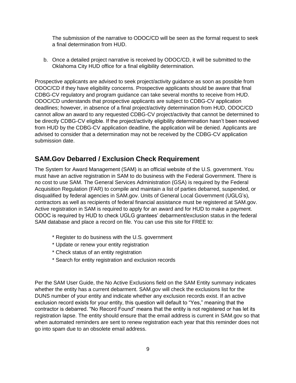The submission of the narrative to ODOC/CD will be seen as the formal request to seek a final determination from HUD.

b. Once a detailed project narrative is received by ODOC/CD, it will be submitted to the Oklahoma City HUD office for a final eligibility determination.

Prospective applicants are advised to seek project/activity guidance as soon as possible from ODOC/CD if they have eligibility concerns. Prospective applicants should be aware that final CDBG-CV regulatory and program guidance can take several months to receive from HUD. ODOC/CD understands that prospective applicants are subject to CDBG-CV application deadlines; however, in absence of a final project/activity determination from HUD, ODOC/CD cannot allow an award to any requested CDBG-CV project/activity that cannot be determined to be directly CDBG-CV eligible. If the project/activity eligibility determination hasn't been received from HUD by the CDBG-CV application deadline, the application will be denied. Applicants are advised to consider that a determination may not be received by the CDBG-CV application submission date.

## <span id="page-8-0"></span>**SAM.Gov Debarred / Exclusion Check Requirement**

The System for Award Management (SAM) is an official website of the U.S. government. You must have an active registration in SAM to do business with the Federal Government. There is no cost to use SAM. The General Services Administration (GSA) is required by the Federal Acquisition Regulation (FAR) to compile and maintain a list of parties debarred, suspended, or disqualified by federal agencies in SAM.gov. Units of General Local Government (UGLG's), contractors as well as recipients of federal financial assistance must be registered at SAM.gov. Active registration in SAM is required to apply for an award and for HUD to make a payment. ODOC is required by HUD to check UGLG grantees' debarment/exclusion status in the federal SAM database and place a record on file. You can use this site for FREE to:

- \* Register to do business with the U.S. government
- \* Update or renew your entity registration
- \* Check status of an entity registration
- \* Search for entity registration and exclusion records

Per the SAM User Guide, the No Active Exclusions field on the SAM Entity summary indicates whether the entity has a current debarment. SAM.gov will check the exclusions list for the DUNS number of your entity and indicate whether any exclusion records exist. If an active exclusion record exists for your entity, this question will default to "Yes," meaning that the contractor is debarred. "No Record Found" means that the entity is not registered or has let its registration lapse. The entity should ensure that the email address is current in SAM.gov so that when automated reminders are sent to renew registration each year that this reminder does not go into spam due to an obsolete email address.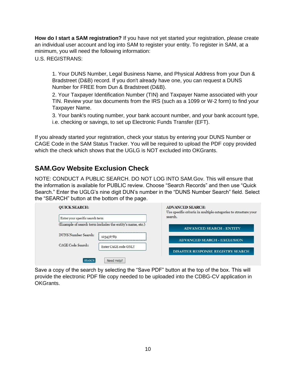**How do I start a SAM registration?** If you have not yet started your registration, please create an individual user account and log into SAM to register your entity. To register in SAM, at a minimum, you will need the following information:

U.S. REGISTRANS:

1. Your DUNS Number, Legal Business Name, and Physical Address from your Dun & Bradstreet (D&B) record. If you don't already have one, you can request a DUNS Number for FREE from Dun & Bradstreet (D&B).

2. Your Taxpayer Identification Number (TIN) and Taxpayer Name associated with your TIN. Review your tax documents from the IRS (such as a 1099 or W-2 form) to find your Taxpayer Name.

3. Your bank's routing number, your bank account number, and your bank account type, i.e. checking or savings, to set up Electronic Funds Transfer (EFT).

If you already started your registration, check your status by entering your DUNS Number or CAGE Code in the SAM Status Tracker. You will be required to upload the PDF copy provided which the check which shows that the UGLG is NOT excluded into OKGrants.

# <span id="page-9-0"></span>**SAM.Gov Website Exclusion Check**

NOTE: CONDUCT A PUBLIC SEARCH. DO NOT LOG INTO SAM.Gov. This will ensure that the information is available for PUBLIC review. Choose "Search Records" and then use "Quick Search." Enter the UGLG's nine digit DUN's number in the "DUNS Number Search" field. Select the "SEARCH" button at the bottom of the page.

| <b>QUICK SEARCH:</b>            |                                                           | <b>ADVANCED SEARCH:</b><br>Use specific criteria in multiple categories to structure your<br>search. |  |  |  |  |
|---------------------------------|-----------------------------------------------------------|------------------------------------------------------------------------------------------------------|--|--|--|--|
| Enter your specific search term |                                                           |                                                                                                      |  |  |  |  |
|                                 | (Example of search term includes the entity's name, etc.) | <b>ADVANCED SEARCH - ENTITY</b>                                                                      |  |  |  |  |
| DUNS Number Search:             | 123456789                                                 | <b>ADVANCED SEARCH - EXCLUSION</b>                                                                   |  |  |  |  |
| CAGE Code Search:               | Enter CAGE code ONLY                                      | <b>DISASTER RESPONSE REGISTRY SEARCH</b>                                                             |  |  |  |  |
| <b>SEARCH</b>                   | Need Help?                                                |                                                                                                      |  |  |  |  |

Save a copy of the search by selecting the "Save PDF" button at the top of the box. This will provide the electronic PDF file copy needed to be uploaded into the CDBG-CV application in OKGrants.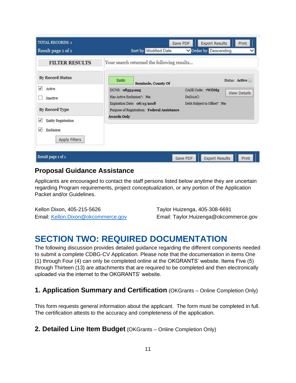| <b>TOTAL RECORDS: 1</b><br>Result page 1 of 1        | Sort by Modified Date                                                      | Save PDF                    | <b>Export Results</b><br>Print<br>Order by Descending |
|------------------------------------------------------|----------------------------------------------------------------------------|-----------------------------|-------------------------------------------------------|
| <b>FILTER RESULTS</b>                                | Your search returned the following results                                 |                             |                                                       |
| <b>By Record Status</b>                              | Entity<br>Seminole, County Of                                              |                             | Status: Active +                                      |
| $\overline{\mathsf{v}}$<br>Active<br><b>Inactive</b> | DUNS: 085541225<br>Has Active Exclusion?: No                               | CAGE Code: 7WDM5<br>DoDAAC: | <b>View Details</b>                                   |
| By Record Type                                       | Expiration Date: 06/13/2018<br>Purpose of Registration: Federal Assistance | Debt Subject to Offset? No  |                                                       |
| V<br>Entity Registration<br>$\vee$<br>Exclusion      | <b>Awards Only</b>                                                         |                             |                                                       |
| <b>Apply Filters</b>                                 |                                                                            |                             |                                                       |
| Result page 1 of 1                                   |                                                                            | Save PDF                    | <b>Export Results</b><br>Print                        |

## <span id="page-10-0"></span>**Proposal Guidance Assistance**

Applicants are encouraged to contact the staff persons listed below anytime they are uncertain regarding Program requirements, project conceptualization, or any portion of the Application Packet and/or Guidelines.

Kellon Dixon, 405-215-5626 Taylor Huizenga, 405-308-6691

Email: [Kellon.Dixon@okcommerce.gov](mailto:Kellon.Dixon@okcommerce.gov) Email: Taylor.Huizenga@okcommerce.gov

# <span id="page-10-1"></span>**SECTION TWO: REQUIRED DOCUMENTATION**

The following discussion provides detailed guidance regarding the different components needed to submit a complete CDBG-CV Application. Please note that the documentation in items One (1) through Four (4) can only be completed online at the OKGRANTS' website. Items Five (5) through Thirteen (13) are attachments that are required to be completed and then electronically uploaded via the internet to the OKGRANTS' website.

# <span id="page-10-2"></span>**1. Application Summary and Certification** (OKGrants – Online Completion Only)

This form requests general information about the applicant. The form must be completed in full. The certification attests to the accuracy and completeness of the application.

<span id="page-10-3"></span>**2. Detailed Line Item Budget** (OKGrants – Online Completion Only)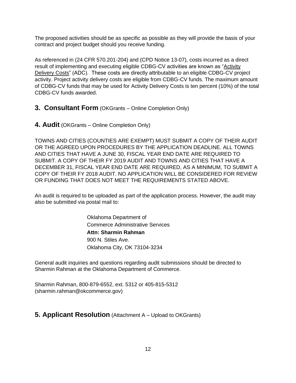The proposed activities should be as specific as possible as they will provide the basis of your contract and project budget should you receive funding.

As referenced in (24 CFR 570.201-204) and (CPD Notice 13-07), costs incurred as a direct result of implementing and executing eligible CDBG-CV activities are known as "Activity Delivery Costs" (ADC). These costs are directly attributable to an eligible CDBG-CV project activity. Project activity delivery costs are eligible from CDBG-CV funds. The maximum amount of CDBG-CV funds that may be used for Activity Delivery Costs is ten percent (10%) of the total CDBG-CV funds awarded.

- <span id="page-11-0"></span>**3. Consultant Form** (OKGrants – Online Completion Only)
- <span id="page-11-1"></span>**4. Audit** (OKGrants – Online Completion Only)

TOWNS AND CITIES (COUNTIES ARE EXEMPT) MUST SUBMIT A COPY OF THEIR AUDIT OR THE AGREED UPON PROCEDURES BY THE APPLICATION DEADLINE. ALL TOWNS AND CITIES THAT HAVE A JUNE 30, FISCAL YEAR END DATE ARE REQUIRED TO SUBMIT. A COPY OF THEIR FY 2019 AUDIT AND TOWNS AND CITIES THAT HAVE A DECEMBER 31, FISCAL YEAR END DATE ARE REQUIRED, AS A MINIMUM, TO SUBMIT A COPY OF THEIR FY 2018 AUDIT. NO APPLICATION WILL BE CONSIDERED FOR REVIEW OR FUNDING THAT DOES NOT MEET THE REQUIREMENTS STATED ABOVE.

An audit is required to be uploaded as part of the application process. However, the audit may also be submitted via postal mail to:

> Oklahoma Department of Commerce Administrative Services **Attn: Sharmin Rahman** 900 N. Stiles Ave. Oklahoma City, OK 73104-3234

General audit inquiries and questions regarding audit submissions should be directed to Sharmin Rahman at the Oklahoma Department of Commerce.

Sharmin Rahman, 800-879-6552, ext. 5312 or 405-815-5312 (sharmin.rahman@okcommerce.gov)

<span id="page-11-2"></span>**5. Applicant Resolution** (Attachment A – Upload to OKGrants)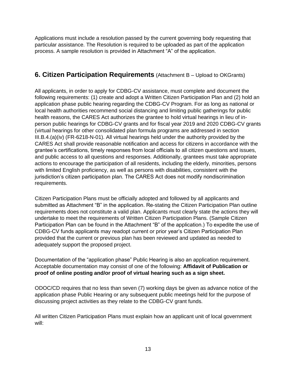Applications must include a resolution passed by the current governing body requesting that particular assistance. The Resolution is required to be uploaded as part of the application process. A sample resolution is provided in Attachment "A" of the application.

## <span id="page-12-0"></span>**6. Citizen Participation Requirements** (Attachment B – Upload to OKGrants)

All applicants, in order to apply for CDBG-CV assistance, must complete and document the following requirements: (1) create and adopt a Written Citizen Participation Plan and (2) hold an application phase public hearing regarding the CDBG-CV Program. For as long as national or local health authorities recommend social distancing and limiting public gatherings for public health reasons, the CARES Act authorizes the grantee to hold virtual hearings in lieu of inperson public hearings for CDBG-CV grants and for fiscal year 2019 and 2020 CDBG-CV grants (virtual hearings for other consolidated plan formula programs are addressed in section III.B.4.(a)(iv) (FR-6218-N-01). All virtual hearings held under the authority provided by the CARES Act shall provide reasonable notification and access for citizens in accordance with the grantee's certifications, timely responses from local officials to all citizen questions and issues, and public access to all questions and responses. Additionally, grantees must take appropriate actions to encourage the participation of all residents, including the elderly, minorities, persons with limited English proficiency, as well as persons with disabilities, consistent with the jurisdiction's citizen participation plan. The CARES Act does not modify nondiscrimination requirements.

Citizen Participation Plans must be officially adopted and followed by all applicants and submitted as Attachment "B" in the application. Re-stating the Citizen Participation Plan outline requirements does not constitute a valid plan. Applicants must clearly state the actions they will undertake to meet the requirements of Written Citizen Participation Plans. (Sample Citizen Participation Plan can be found in the Attachment "B" of the application.) To expedite the use of CDBG-CV funds applicants may readopt current or prior year's Citizen Participation Plan provided that the current or previous plan has been reviewed and updated as needed to adequately support the proposed project.

Documentation of the "application phase" Public Hearing is also an application requirement. Acceptable documentation may consist of one of the following: **Affidavit of Publication or proof of online posting and/or proof of virtual hearing such as a sign sheet.**

ODOC/CD requires that no less than seven (7) working days be given as advance notice of the application phase Public Hearing or any subsequent public meetings held for the purpose of discussing project activities as they relate to the CDBG-CV grant funds.

All written Citizen Participation Plans must explain how an applicant unit of local government will: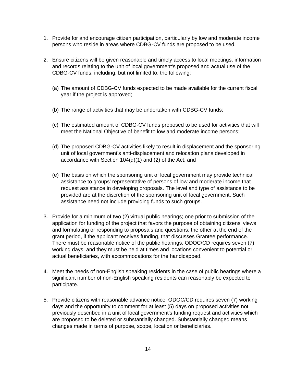- 1. Provide for and encourage citizen participation, particularly by low and moderate income persons who reside in areas where CDBG-CV funds are proposed to be used.
- 2. Ensure citizens will be given reasonable and timely access to local meetings, information and records relating to the unit of local government's proposed and actual use of the CDBG-CV funds; including, but not limited to, the following:
	- (a) The amount of CDBG-CV funds expected to be made available for the current fiscal year if the project is approved;
	- (b) The range of activities that may be undertaken with CDBG-CV funds;
	- (c) The estimated amount of CDBG-CV funds proposed to be used for activities that will meet the National Objective of benefit to low and moderate income persons;
	- (d) The proposed CDBG-CV activities likely to result in displacement and the sponsoring unit of local government's anti-displacement and relocation plans developed in accordance with Section 104(d)(1) and (2) of the Act; and
	- (e) The basis on which the sponsoring unit of local government may provide technical assistance to groups' representative of persons of low and moderate income that request assistance in developing proposals. The level and type of assistance to be provided are at the discretion of the sponsoring unit of local government. Such assistance need not include providing funds to such groups.
- 3. Provide for a minimum of two (2) virtual public hearings; one prior to submission of the application for funding of the project that favors the purpose of obtaining citizens' views and formulating or responding to proposals and questions; the other at the end of the grant period, if the applicant receives funding, that discusses Grantee performance. There must be reasonable notice of the public hearings. ODOC/CD requires seven (7) working days, and they must be held at times and locations convenient to potential or actual beneficiaries, with accommodations for the handicapped.
- 4. Meet the needs of non-English speaking residents in the case of public hearings where a significant number of non-English speaking residents can reasonably be expected to participate.
- 5. Provide citizens with reasonable advance notice. ODOC/CD requires seven (7) working days and the opportunity to comment for at least (5) days on proposed activities not previously described in a unit of local government's funding request and activities which are proposed to be deleted or substantially changed. Substantially changed means changes made in terms of purpose, scope, location or beneficiaries.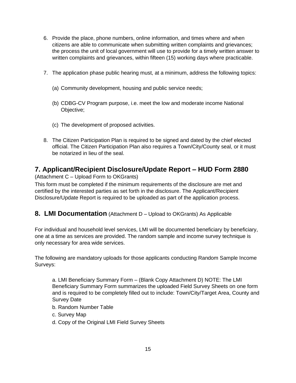- 6. Provide the place, phone numbers, online information, and times where and when citizens are able to communicate when submitting written complaints and grievances; the process the unit of local government will use to provide for a timely written answer to written complaints and grievances, within fifteen (15) working days where practicable.
- 7. The application phase public hearing must, at a minimum, address the following topics:
	- (a) Community development, housing and public service needs;
	- (b) CDBG-CV Program purpose, i.e. meet the low and moderate income National Objective;
	- (c) The development of proposed activities.
- 8. The Citizen Participation Plan is required to be signed and dated by the chief elected official. The Citizen Participation Plan also requires a Town/City/County seal, or it must be notarized in lieu of the seal.

# <span id="page-14-0"></span>**7. Applicant/Recipient Disclosure/Update Report – HUD Form 2880**

(Attachment C – Upload Form to OKGrants)

This form must be completed if the minimum requirements of the disclosure are met and certified by the interested parties as set forth in the disclosure. The Applicant/Recipient Disclosure/Update Report is required to be uploaded as part of the application process.

## <span id="page-14-1"></span>**8. LMI Documentation** (Attachment D – Upload to OKGrants) As Applicable

For individual and household level services, LMI will be documented beneficiary by beneficiary, one at a time as services are provided. The random sample and income survey technique is only necessary for area wide services.

The following are mandatory uploads for those applicants conducting Random Sample Income Surveys:

a. LMI Beneficiary Summary Form – (Blank Copy Attachment D) NOTE: The LMI Beneficiary Summary Form summarizes the uploaded Field Survey Sheets on one form and is required to be completely filled out to include: Town/City/Target Area, County and Survey Date

- b. Random Number Table
- c. Survey Map
- d. Copy of the Original LMI Field Survey Sheets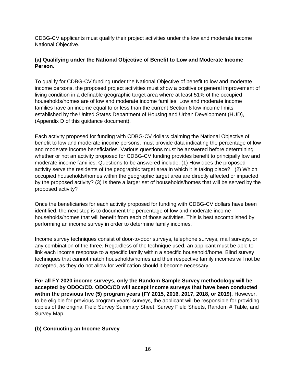CDBG-CV applicants must qualify their project activities under the low and moderate income National Objective.

### **(a) Qualifying under the National Objective of Benefit to Low and Moderate Income Person.**

To qualify for CDBG-CV funding under the National Objective of benefit to low and moderate income persons, the proposed project activities must show a positive or general improvement of living condition in a definable geographic target area where at least 51% of the occupied households/homes are of low and moderate income families. Low and moderate income families have an income equal to or less than the current Section 8 low income limits established by the United States Department of Housing and Urban Development (HUD), (Appendix D of this guidance document).

Each activity proposed for funding with CDBG-CV dollars claiming the National Objective of benefit to low and moderate income persons, must provide data indicating the percentage of low and moderate income beneficiaries. Various questions must be answered before determining whether or not an activity proposed for CDBG-CV funding provides benefit to principally low and moderate income families. Questions to be answered include: (1) How does the proposed activity serve the residents of the geographic target area in which it is taking place? (2) Which occupied households/homes within the geographic target area are directly affected or impacted by the proposed activity? (3) Is there a larger set of households/homes that will be served by the proposed activity?

Once the beneficiaries for each activity proposed for funding with CDBG-CV dollars have been identified, the next step is to document the percentage of low and moderate income households/homes that will benefit from each of those activities. This is best accomplished by performing an income survey in order to determine family incomes.

Income survey techniques consist of door-to-door surveys, telephone surveys, mail surveys, or any combination of the three. Regardless of the technique used, an applicant must be able to link each income response to a specific family within a specific household/home. Blind survey techniques that cannot match households/homes and their respective family incomes will not be accepted, as they do not allow for verification should it become necessary.

**For all FY 2020 income surveys, only the Random Sample Survey methodology will be accepted by ODOC/CD. ODOC/CD will accept income surveys that have been conducted within the previous five (5) program years (FY 2015, 2016, 2017, 2018, or 2019).** However, to be eligible for previous program years' surveys, the applicant will be responsible for providing copies of the original Field Survey Summary Sheet, Survey Field Sheets, Random # Table, and Survey Map.

### **(b) Conducting an Income Survey**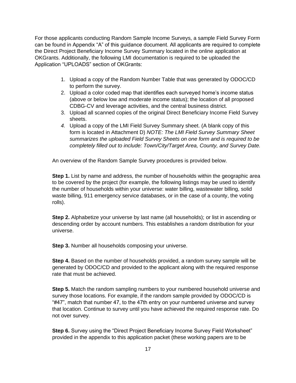For those applicants conducting Random Sample Income Surveys, a sample Field Survey Form can be found in Appendix "A" of this guidance document. All applicants are required to complete the Direct Project Beneficiary Income Survey Summary located in the online application at OKGrants. Additionally, the following LMI documentation is required to be uploaded the Application "UPLOADS" section of OKGrants:

- 1. Upload a copy of the Random Number Table that was generated by ODOC/CD to perform the survey.
- 2. Upload a color coded map that identifies each surveyed home's income status (above or below low and moderate income status); the location of all proposed CDBG-CV and leverage activities, and the central business district.
- 3. Upload all scanned copies of the original Direct Beneficiary Income Field Survey sheets.
- *4.* Upload a copy of the LMI Field Survey Summary sheet. (A blank copy of this form is located in Attachment D) *NOTE: The LMI Field Survey Summary Sheet summarizes the uploaded Field Survey Sheets on one form and is required to be completely filled out to include: Town/City/Target Area, County, and Survey Date.*

An overview of the Random Sample Survey procedures is provided below.

**Step 1.** List by name and address, the number of households within the geographic area to be covered by the project (for example, the following listings may be used to identify the number of households within your universe: water billing, wastewater billing, solid waste billing, 911 emergency service databases, or in the case of a county, the voting rolls).

**Step 2.** Alphabetize your universe by last name (all households); or list in ascending or descending order by account numbers. This establishes a random distribution for your universe.

**Step 3.** Number all households composing your universe.

**Step 4.** Based on the number of households provided, a random survey sample will be generated by ODOC/CD and provided to the applicant along with the required response rate that must be achieved.

**Step 5.** Match the random sampling numbers to your numbered household universe and survey those locations. For example, if the random sample provided by ODOC/CD is "#47", match that number 47, to the 47th entry on your numbered universe and survey that location. Continue to survey until you have achieved the required response rate. Do not over survey.

**Step 6.** Survey using the "Direct Project Beneficiary Income Survey Field Worksheet" provided in the appendix to this application packet (these working papers are to be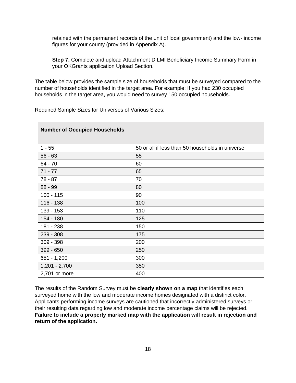retained with the permanent records of the unit of local government) and the low- income figures for your county (provided in Appendix A).

**Step 7.** Complete and upload Attachment D LMI Beneficiary Income Summary Form in your OKGrants application Upload Section.

The table below provides the sample size of households that must be surveyed compared to the number of households identified in the target area. For example: If you had 230 occupied households in the target area, you would need to survey 150 occupied households.

Required Sample Sizes for Universes of Various Sizes:

| <b>Number of Occupied Households</b> |                                                  |  |  |  |  |  |
|--------------------------------------|--------------------------------------------------|--|--|--|--|--|
| $1 - 55$                             | 50 or all if less than 50 households in universe |  |  |  |  |  |
| $56 - 63$                            | 55                                               |  |  |  |  |  |
| $64 - 70$                            | 60                                               |  |  |  |  |  |
| $71 - 77$                            | 65                                               |  |  |  |  |  |
| $78 - 87$                            | 70                                               |  |  |  |  |  |
| 88 - 99                              | 80                                               |  |  |  |  |  |
| $100 - 115$                          | 90                                               |  |  |  |  |  |
| $116 - 138$                          | 100                                              |  |  |  |  |  |
| 139 - 153                            | 110                                              |  |  |  |  |  |
| 154 - 180                            | 125                                              |  |  |  |  |  |
| 181 - 238                            | 150                                              |  |  |  |  |  |
| 239 - 308                            | 175                                              |  |  |  |  |  |
| 309 - 398                            | 200                                              |  |  |  |  |  |
| 399 - 650                            | 250                                              |  |  |  |  |  |
| $651 - 1,200$                        | 300                                              |  |  |  |  |  |
| $1,201 - 2,700$                      | 350                                              |  |  |  |  |  |
| 2,701 or more                        | 400                                              |  |  |  |  |  |

The results of the Random Survey must be **clearly shown on a map** that identifies each surveyed home with the low and moderate income homes designated with a distinct color. Applicants performing income surveys are cautioned that incorrectly administered surveys or their resulting data regarding low and moderate income percentage claims will be rejected. **Failure to include a properly marked map with the application will result in rejection and return of the application.**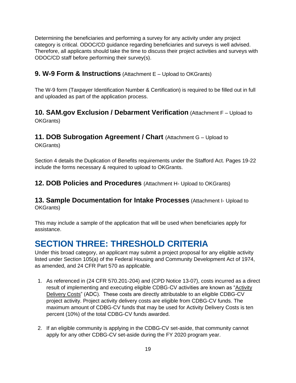Determining the beneficiaries and performing a survey for any activity under any project category is critical. ODOC/CD guidance regarding beneficiaries and surveys is well advised. Therefore, all applicants should take the time to discuss their project activities and surveys with ODOC/CD staff before performing their survey(s).

## <span id="page-18-0"></span>**9. W-9 Form & Instructions** (Attachment E – Upload to OKGrants)

The W-9 form (Taxpayer Identification Number & Certification) is required to be filled out in full and uploaded as part of the application process.

## <span id="page-18-1"></span>**10. SAM.gov Exclusion / Debarment Verification** (Attachment F – Upload to OKGrants)

## <span id="page-18-2"></span>**11. DOB Subrogation Agreement / Chart** (Attachment G – Upload to

OKGrants)

Section 4 details the Duplication of Benefits requirements under the Stafford Act. Pages 19-22 include the forms necessary & required to upload to OKGrants.

<span id="page-18-3"></span>**12. DOB Policies and Procedures** (Attachment H- Upload to OKGrants)

## <span id="page-18-4"></span>**13. Sample Documentation for Intake Processes** (Attachment I- Upload to OKGrants)

This may include a sample of the application that will be used when beneficiaries apply for assistance.

# <span id="page-18-5"></span>**SECTION THREE: THRESHOLD CRITERIA**

Under this broad category, an applicant may submit a project proposal for any eligible activity listed under Section 105(a) of the Federal Housing and Community Development Act of 1974, as amended, and 24 CFR Part 570 as applicable.

- 1. As referenced in (24 CFR 570.201-204) and (CPD Notice 13-07), costs incurred as a direct result of implementing and executing eligible CDBG-CV activities are known as "Activity Delivery Costs" (ADC). These costs are directly attributable to an eligible CDBG-CV project activity. Project activity delivery costs are eligible from CDBG-CV funds. The maximum amount of CDBG-CV funds that may be used for Activity Delivery Costs is ten percent (10%) of the total CDBG-CV funds awarded.
- 2. If an eligible community is applying in the CDBG-CV set-aside, that community cannot apply for any other CDBG-CV set-aside during the FY 2020 program year.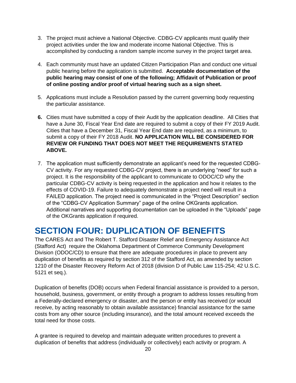- 3. The project must achieve a National Objective. CDBG-CV applicants must qualify their project activities under the low and moderate income National Objective. This is accomplished by conducting a random sample income survey in the project target area.
- 4. Each community must have an updated Citizen Participation Plan and conduct one virtual public hearing before the application is submitted. **Acceptable documentation of the public hearing may consist of one of the following; Affidavit of Publication or proof of online posting and/or proof of virtual hearing such as a sign sheet.**
- 5. Applications must include a Resolution passed by the current governing body requesting the particular assistance.
- **6.** Cities must have submitted a copy of their Audit by the application deadline. All Cities that have a June 30, Fiscal Year End date are required to submit a copy of their FY 2019 Audit. Cities that have a December 31, Fiscal Year End date are required, as a minimum, to submit a copy of their FY 2018 Audit. **NO APPLICATION WILL BE CONSIDERED FOR REVIEW OR FUNDING THAT DOES NOT MEET THE REQUIREMENTS STATED ABOVE.**
- 7. The application must sufficiently demonstrate an applicant's need for the requested CDBG-CV activity. For any requested CDBG-CV project, there is an underlying "need" for such a project. It is the responsibility of the applicant to communicate to ODOC/CD why the particular CDBG-CV activity is being requested in the application and how it relates to the effects of COVID-19. Failure to adequately demonstrate a project need will result in a FAILED application. The project need is communicated in the "Project Description" section of the "CDBG-CV Application Summary" page of the online OKGrants application. Additional narratives and supporting documentation can be uploaded in the "Uploads" page of the OKGrants application if required.

# <span id="page-19-0"></span>**SECTION FOUR: DUPLICATION OF BENEFITS**

The CARES Act and The Robert T. Stafford Disaster Relief and Emergency Assistance Act (Stafford Act) require the Oklahoma Department of Commerce Community Development Division (ODOC/CD) to ensure that there are adequate procedures in place to prevent any duplication of benefits as required by section 312 of the Stafford Act, as amended by section 1210 of the Disaster Recovery Reform Act of 2018 (division D of Public Law 115-254; 42 U.S.C. 5121 et seq.).

Duplication of benefits (DOB) occurs when Federal financial assistance is provided to a person, household, business, government, or entity through a program to address losses resulting from a Federally-declared emergency or disaster, and the person or entity has received (or would receive, by acting reasonably to obtain available assistance) financial assistance for the same costs from any other source (including insurance), and the total amount received exceeds the total need for those costs.

A grantee is required to develop and maintain adequate written procedures to prevent a duplication of benefits that address (individually or collectively) each activity or program. A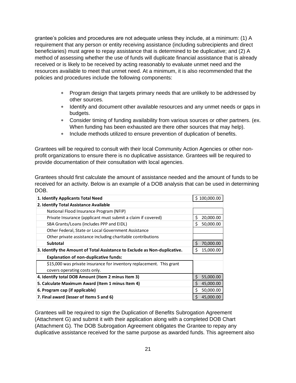grantee's policies and procedures are not adequate unless they include, at a minimum: (1) A requirement that any person or entity receiving assistance (including subrecipients and direct beneficiaries) must agree to repay assistance that is determined to be duplicative; and (2) A method of assessing whether the use of funds will duplicate financial assistance that is already received or is likely to be received by acting reasonably to evaluate unmet need and the resources available to meet that unmet need. At a minimum, it is also recommended that the policies and procedures include the following components:

- Program design that targets primary needs that are unlikely to be addressed by other sources.
- Identify and document other available resources and any unmet needs or gaps in budgets.
- Consider timing of funding availability from various sources or other partners. (ex. When funding has been exhausted are there other sources that may help).
- Include methods utilized to ensure prevention of duplication of benefits.

Grantees will be required to consult with their local Community Action Agencies or other nonprofit organizations to ensure there is no duplicative assistance. Grantees will be required to provide documentation of their consultation with local agencies.

Grantees should first calculate the amount of assistance needed and the amount of funds to be received for an activity. Below is an example of a DOB analysis that can be used in determining DOB.

| 1. Identify Applicants Total Need                                         | \$100,000.00    |
|---------------------------------------------------------------------------|-----------------|
| 2. Identify Total Assistance Available                                    |                 |
| National Flood Insurance Program (NFIP)                                   |                 |
| Private Insurance (applicant must submit a claim if covered)              | Ś<br>20,000.00  |
| SBA Grants/Loans (includes PPP and EIDL)                                  | \$<br>50,000.00 |
| Other Federal, State or Local Government Assistance                       |                 |
| Other private assistance including charitable contributions               |                 |
| Subtotal                                                                  | \$<br>70,000.00 |
| 3. Identify the Amount of Total Assistance to Exclude as Non-duplicative. | Ś<br>15,000.00  |
| Explanation of non-duplicative funds:                                     |                 |
| \$15,000 was private insurance for inventory replacement. This grant      |                 |
| covers operating costs only.                                              |                 |
| 4. Identify total DOB Amount (Item 2 minus Item 3)                        | \$<br>55,000.00 |
| 5. Calculate Maximum Award (Item 1 minus Item 4)                          | Ś.<br>45,000.00 |
| 6. Program cap (if applicable)                                            | \$<br>50,000.00 |
| 7. Final award (lesser of Items 5 and 6)                                  | Ś.<br>45,000.00 |

Grantees will be required to sign the Duplication of Benefits Subrogation Agreement (Attachment G) and submit it with their application along with a completed DOB Chart (Attachment G). The DOB Subrogation Agreement obligates the Grantee to repay any duplicative assistance received for the same purpose as awarded funds. This agreement also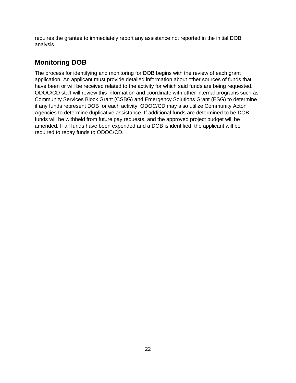requires the grantee to immediately report any assistance not reported in the initial DOB analysis.

# <span id="page-21-0"></span>**Monitoring DOB**

The process for identifying and monitoring for DOB begins with the review of each grant application. An applicant must provide detailed information about other sources of funds that have been or will be received related to the activity for which said funds are being requested. ODOC/CD staff will review this information and coordinate with other internal programs such as Community Services Block Grant (CSBG) and Emergency Solutions Grant (ESG) to determine if any funds represent DOB for each activity. ODOC/CD may also utilize Community Acton Agencies to determine duplicative assistance. If additional funds are determined to be DOB, funds will be withheld from future pay requests, and the approved project budget will be amended. If all funds have been expended and a DOB is identified, the applicant will be required to repay funds to ODOC/CD.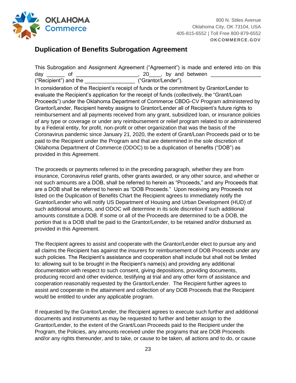

# <span id="page-22-0"></span>**Duplication of Benefits Subrogation Agreement**

This Subrogation and Assignment Agreement ("Agreement") is made and entered into on this day \_\_\_\_\_\_\_ of \_\_\_\_\_\_\_\_\_\_\_\_\_\_\_\_\_\_\_\_\_\_\_, 20\_\_\_\_, by and between \_\_\_\_\_\_\_\_\_\_\_\_ ("Recipient") and the \_\_\_\_\_\_\_\_\_\_\_\_\_\_\_\_\_ ("Grantor/Lender"). In consideration of the Recipient's receipt of funds or the commitment by Grantor/Lender to evaluate the Recipient's application for the receipt of funds (collectively, the "Grant/Loan Proceeds") under the Oklahoma Department of Commerce CBDG-CV Program administered by Grantor/Lender, Recipient hereby assigns to Grantor/Lender all of Recipient's future rights to reimbursement and all payments received from any grant, subsidized loan, or insurance policies of any type or coverage or under any reimbursement or relief program related to or administered by a Federal entity, for profit, non-profit or other organization that was the basis of the Coronavirus pandemic since January 21, 2020, the extent of Grant/Loan Proceeds paid or to be paid to the Recipient under the Program and that are determined in the sole discretion of Oklahoma Department of Commerce (ODOC) to be a duplication of benefits ("DOB") as provided in this Agreement.

The proceeds or payments referred to in the preceding paragraph, whether they are from insurance, Coronavirus relief grants, other grants awarded, or any other source, and whether or not such amounts are a DOB, shall be referred to herein as "Proceeds," and any Proceeds that are a DOB shall be referred to herein as "DOB Proceeds." Upon receiving any Proceeds not listed on the Duplication of Benefits Chart the Recipient agrees to immediately notify the Grantor/Lender who will notify US Department of Housing and Urban Development (HUD) of such additional amounts, and ODOC will determine in its sole discretion if such additional amounts constitute a DOB. If some or all of the Proceeds are determined to be a DOB, the portion that is a DOB shall be paid to the Grantor/Lender, to be retained and/or disbursed as provided in this Agreement.

The Recipient agrees to assist and cooperate with the Grantor/Lender elect to pursue any and all claims the Recipient has against the insurers for reimbursement of DOB Proceeds under any such policies. The Recipient's assistance and cooperation shall include but shall not be limited to: allowing suit to be brought in the Recipient's name(s) and providing any additional documentation with respect to such consent, giving depositions, providing documents, producing record and other evidence, testifying at trial and any other form of assistance and cooperation reasonably requested by the Grantor/Lender. The Recipient further agrees to assist and cooperate in the attainment and collection of any DOB Proceeds that the Recipient would be entitled to under any applicable program.

If requested by the Grantor/Lender, the Recipient agrees to execute such further and additional documents and instruments as may be requested to further and better assign to the Grantor/Lender, to the extent of the Grant/Loan Proceeds paid to the Recipient under the Program, the Policies, any amounts received under the programs that are DOB Proceeds and/or any rights thereunder, and to take, or cause to be taken, all actions and to do, or cause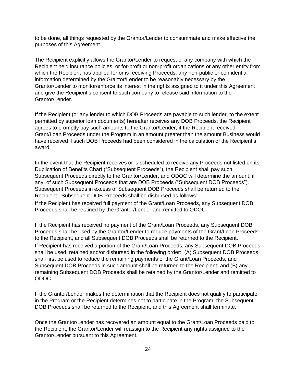to be done, all things requested by the Grantor/Lender to consummate and make effective the purposes of this Agreement.

The Recipient explicitly allows the Grantor/Lender to request of any company with which the Recipient held insurance policies, or for-profit or non-profit organizations or any other entity from which the Recipient has applied for or is receiving Proceeds, any non-public or confidential information determined by the Grantor/Lender to be reasonably necessary by the Grantor/Lender to monitor/enforce its interest in the rights assigned to it under this Agreement and give the Recipient's consent to such company to release said information to the Grantor/Lender.

If the Recipient (or any lender to which DOB Proceeds are payable to such lender, to the extent permitted by superior loan documents) hereafter receives any DOB Proceeds, the Recipient agrees to promptly pay such amounts to the Grantor/Lender, if the Recipient received Grant/Loan Proceeds under the Program in an amount greater than the amount Business would have received if such DOB Proceeds had been considered in the calculation of the Recipient's award.

In the event that the Recipient receives or is scheduled to receive any Proceeds not listed on its Duplication of Benefits Chart ("Subsequent Proceeds"), the Recipient shall pay such Subsequent Proceeds directly to the Grantor/Lender, and ODOC will determine the amount, if any, of such Subsequent Proceeds that are DOB Proceeds ("Subsequent DOB Proceeds"). Subsequent Proceeds in excess of Subsequent DOB Proceeds shall be returned to the Recipient. Subsequent DOB Proceeds shall be disbursed as follows:

If the Recipient has received full payment of the Grant/Loan Proceeds, any Subsequent DOB Proceeds shall be retained by the Grantor/Lender and remitted to ODOC.

If the Recipient has received no payment of the Grant/Loan Proceeds, any Subsequent DOB Proceeds shall be used by the Grantor/Lender to reduce payments of the Grant/Loan Proceeds to the Recipient, and all Subsequent DOB Proceeds shall be returned to the Recipient. If Recipient has received a portion of the Grant/Loan Proceeds, any Subsequent DOB Proceeds shall be used, retained and/or disbursed in the following order: (A) Subsequent DOB Proceeds shall first be used to reduce the remaining payments of the Grant/Loan Proceeds, and Subsequent DOB Proceeds in such amount shall be returned to the Recipient; and (B) any remaining Subsequent DOB Proceeds shall be retained by the Grantor/Lender and remitted to ODOC.

If the Grantor/Lender makes the determination that the Recipient does not qualify to participate in the Program or the Recipient determines not to participate in the Program, the Subsequent DOB Proceeds shall be returned to the Recipient, and this Agreement shall terminate.

Once the Grantor/Lender has recovered an amount equal to the Grant/Loan Proceeds paid to the Recipient, the Grantor/Lender will reassign to the Recipient any rights assigned to the Grantor/Lender pursuant to this Agreement.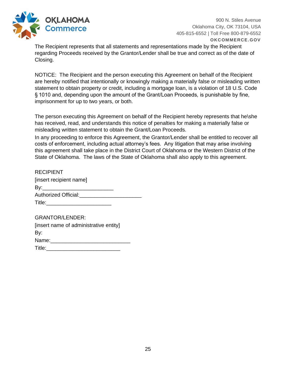

900 N. Stiles Avenue Oklahoma City, OK 73104, USA 405-815-6552 | Toll Free 800-879-6552 **OKCOMMERCE.GOV**

The Recipient represents that all statements and representations made by the Recipient regarding Proceeds received by the Grantor/Lender shall be true and correct as of the date of Closing.

NOTICE: The Recipient and the person executing this Agreement on behalf of the Recipient are hereby notified that intentionally or knowingly making a materially false or misleading written statement to obtain property or credit, including a mortgage loan, is a violation of 18 U.S. Code § 1010 and, depending upon the amount of the Grant/Loan Proceeds, is punishable by fine, imprisonment for up to two years, or both.

The person executing this Agreement on behalf of the Recipient hereby represents that he\she has received, read, and understands this notice of penalties for making a materially false or misleading written statement to obtain the Grant/Loan Proceeds.

In any proceeding to enforce this Agreement, the Grantor/Lender shall be entitled to recover all costs of enforcement, including actual attorney's fees. Any litigation that may arise involving this agreement shall take place in the District Court of Oklahoma or the Western District of the State of Oklahoma. The laws of the State of Oklahoma shall also apply to this agreement.

| <b>RECIPIENT</b>                                                                                                                                                                                                                    |
|-------------------------------------------------------------------------------------------------------------------------------------------------------------------------------------------------------------------------------------|
| [insert recipient name]                                                                                                                                                                                                             |
| By:____________________________                                                                                                                                                                                                     |
| Authorized Official: Authorized Section                                                                                                                                                                                             |
| <b>Title:</b> The contract of the contract of the contract of the contract of the contract of the contract of the contract of the contract of the contract of the contract of the contract of the contract of the contract of the c |
|                                                                                                                                                                                                                                     |

| <b>GRANTOR/LENDER:</b>                 |  |
|----------------------------------------|--|
| [insert name of administrative entity] |  |
| By:                                    |  |
| Name:                                  |  |
| Title:                                 |  |
|                                        |  |